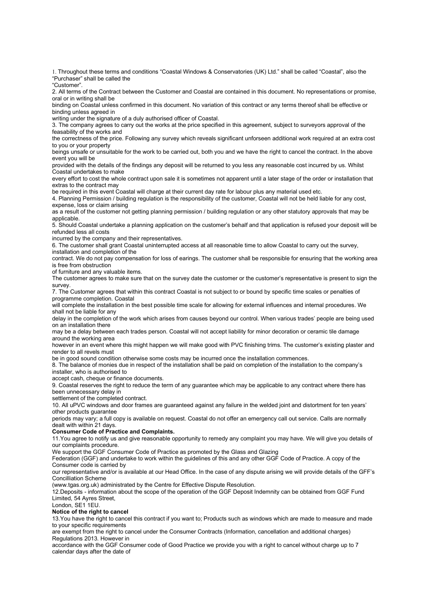1. Throughout these terms and conditions "Coastal Windows & Conservatories (UK) Ltd." shall be called "Coastal", also the "Purchaser" shall be called the

"Customer".

2. All terms of the Contract between the Customer and Coastal are contained in this document. No representations or promise, oral or in writing shall be

binding on Coastal unless confirmed in this document. No variation of this contract or any terms thereof shall be effective or binding unless agreed in

writing under the signature of a duly authorised officer of Coastal.

3. The company agrees to carry out the works at the price specified in this agreement, subject to surveyors approval of the feasability of the works and

the correctness of the price. Following any survey which reveals significant unforseen additional work required at an extra cost to you or your property

beings unsafe or unsuitable for the work to be carried out, both you and we have the right to cancel the contract. In the above event you will be

provided with the details of the findings any deposit will be returned to you less any reasonable cost incurred by us. Whilst Coastal undertakes to make

every effort to cost the whole contract upon sale it is sometimes not apparent until a later stage of the order or installation that extras to the contract may

be required in this event Coastal will charge at their current day rate for labour plus any material used etc.

4. Planning Permission / building regulation is the responsibility of the customer, Coastal will not be held liable for any cost, expense, loss or claim arising

as a result of the customer not getting planning permission / building regulation or any other statutory approvals that may be applicable.

5. Should Coastal undertake a planning application on the customer's behalf and that application is refused your deposit will be refunded less all costs

incurred by the company and their representatives.

6. The customer shall grant Coastal uninterrupted access at all reasonable time to allow Coastal to carry out the survey,

installation and completion of the

contract. We do not pay compensation for loss of earings. The customer shall be responsible for ensuring that the working area is free from obstruction

of furniture and any valuable items.

The customer agrees to make sure that on the survey date the customer or the customer's representative is present to sign the survey.

7. The Customer agrees that within this contract Coastal is not subject to or bound by specific time scales or penalties of programme completion. Coastal

will complete the installation in the best possible time scale for allowing for external influences and internal procedures. We shall not be liable for any

delay in the completion of the work which arises from causes beyond our control. When various trades' people are being used on an installation there

may be a delay between each trades person. Coastal will not accept liability for minor decoration or ceramic tile damage around the working area

however in an event where this might happen we will make good with PVC finishing trims. The customer's existing plaster and render to all revels must

be in good sound condition otherwise some costs may be incurred once the installation commences.

8. The balance of monies due in respect of the installation shall be paid on completion of the installation to the company's installer, who is authorised to

accept cash, cheque or finance documents.

9. Coastal reserves the right to reduce the term of any guarantee which may be applicable to any contract where there has been unnecessary delay in

settlement of the completed contract.

10. All uPVC windows and door frames are guaranteed against any failure in the welded joint and distortment for ten years' other products guarantee

periods may vary; a full copy is available on request. Coastal do not offer an emergency call out service. Calls are normally dealt with within 21 days.

## Consumer Code of Practice and Complaints.

11.You agree to notify us and give reasonable opportunity to remedy any complaint you may have. We will give you details of our complaints procedure.

We support the GGF Consumer Code of Practice as promoted by the Glass and Glazing

Federation (GGF) and undertake to work within the guidelines of this and any other GGF Code of Practice. A copy of the Consumer code is carried by

our representative and/or is available at our Head Office. In the case of any dispute arising we will provide details of the GFF's Concilliation Scheme

(www.tgas.org.uk) administrated by the Centre for Effective Dispute Resolution.

12.Deposits - information about the scope of the operation of the GGF Deposit Indemnity can be obtained from GGF Fund Limited, 54 Ayres Street,

London, SE1 1EU.

## Notice of the right to cancel

13.You have the right to cancel this contract if you want to; Products such as windows which are made to measure and made to your specific requirements

are exempt from the right to cancel under the Consumer Contracts (Information, cancellation and additional charges) Regulations 2013. However in

accordance with the GGF Consumer code of Good Practice we provide you with a right to cancel without charge up to 7 calendar days after the date of